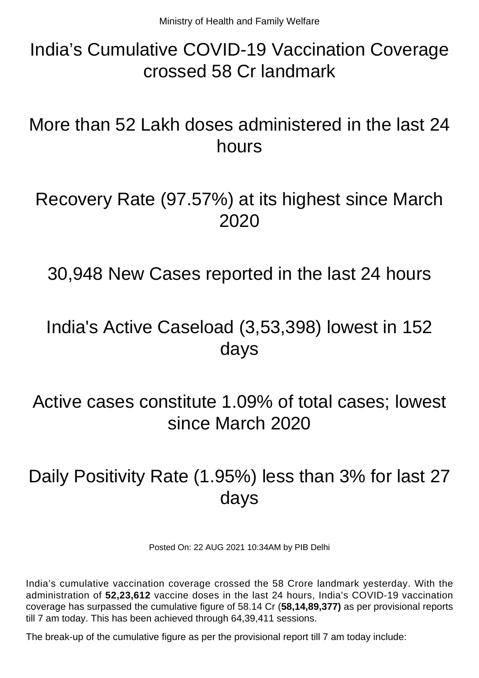## India's Cumulative COVID-19 Vaccination Coverage crossed 58 Cr landmark

More than 52 Lakh doses administered in the last 24 hours

#### Recovery Rate (97.57%) at its highest since March 2020

30,948 New Cases reported in the last 24 hours

## India's Active Caseload (3,53,398) lowest in 152 days

Active cases constitute 1.09% of total cases; lowest since March 2020

# Daily Positivity Rate (1.95%) less than 3% for last 27 days

Posted On: 22 AUG 2021 10:34AM by PIB Delhi

India's cumulative vaccination coverage crossed the 58 Crore landmark yesterday. With the administration of **52,23,612** vaccine doses in the last 24 hours, India's COVID-19 vaccination coverage has surpassed the cumulative figure of 58.14 Cr (**58,14,89,377)** as per provisional reports till 7 am today. This has been achieved through 64,39,411 sessions.

The break-up of the cumulative figure as per the provisional report till 7 am today include: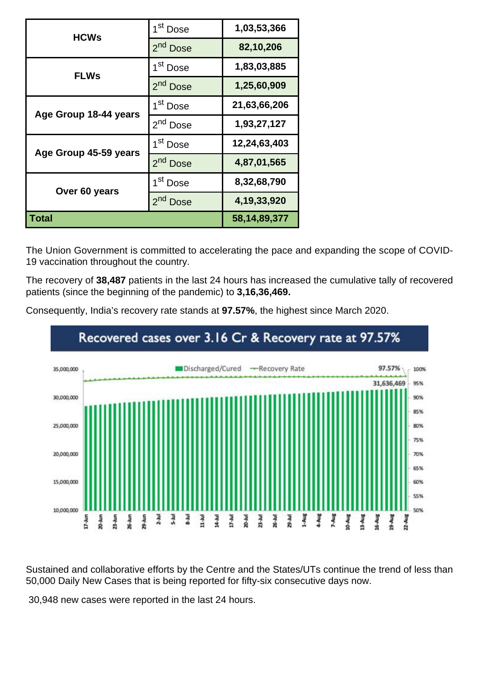| <b>HCWs</b>           | 1 <sup>st</sup> Dose | 1,03,53,366     |
|-----------------------|----------------------|-----------------|
|                       | 2 <sup>nd</sup> Dose | 82,10,206       |
| <b>FLWs</b>           | 1 <sup>st</sup> Dose | 1,83,03,885     |
|                       | 2 <sup>nd</sup> Dose | 1,25,60,909     |
| Age Group 18-44 years | 1 <sup>st</sup> Dose | 21,63,66,206    |
|                       | 2 <sup>nd</sup> Dose | 1,93,27,127     |
| Age Group 45-59 years | 1 <sup>st</sup> Dose | 12,24,63,403    |
|                       | 2 <sup>nd</sup> Dose | 4,87,01,565     |
| Over 60 years         | 1 <sup>st</sup> Dose | 8,32,68,790     |
|                       | $2^{nd}$<br>Dose     | 4, 19, 33, 920  |
| Total                 |                      | 58, 14, 89, 377 |

The Union Government is committed to accelerating the pace and expanding the scope of COVID-19 vaccination throughout the country.

The recovery of **38,487** patients in the last 24 hours has increased the cumulative tally of recovered patients (since the beginning of the pandemic) to **3,16,36,469.**

Consequently, India's recovery rate stands at **97.57%**, the highest since March 2020.



Sustained and collaborative efforts by the Centre and the States/UTs continue the trend of less than 50,000 Daily New Cases that is being reported for fifty-six consecutive days now.

30,948 new cases were reported in the last 24 hours.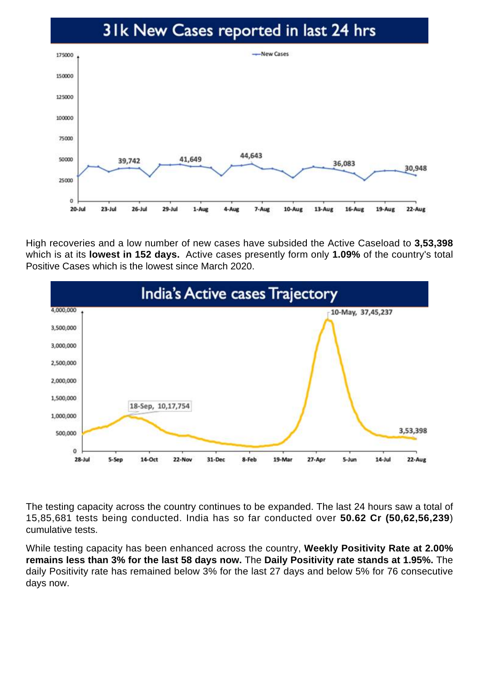#### 31k New Cases reported in last 24 hrs



High recoveries and a low number of new cases have subsided the Active Caseload to **3,53,398** which is at its **lowest in 152 days.** Active cases presently form only **1.09%** of the country's total Positive Cases which is the lowest since March 2020.



The testing capacity across the country continues to be expanded. The last 24 hours saw a total of 15,85,681 tests being conducted. India has so far conducted over **50.62 Cr (50,62,56,239**) cumulative tests.

While testing capacity has been enhanced across the country, **Weekly Positivity Rate at 2.00% remains less than 3% for the last 58 days now.** The **Daily Positivity rate stands at 1.95%.** The daily Positivity rate has remained below 3% for the last 27 days and below 5% for 76 consecutive days now.